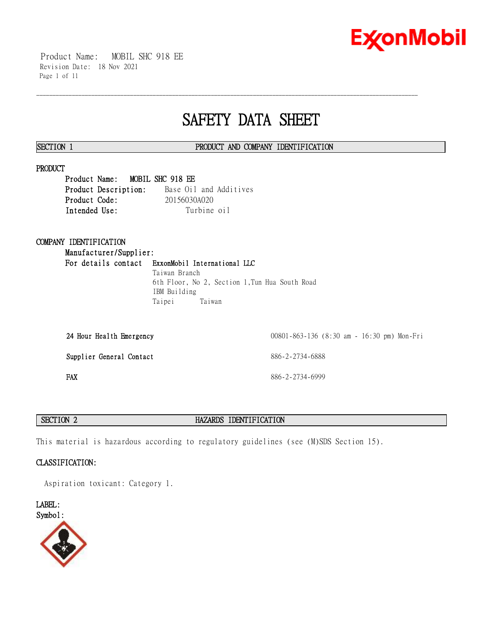

 Product Name: MOBIL SHC 918 EE Revision Date: 18 Nov 2021 Page 1 of 11

# **SAFETY DATA SHEET**

\_\_\_\_\_\_\_\_\_\_\_\_\_\_\_\_\_\_\_\_\_\_\_\_\_\_\_\_\_\_\_\_\_\_\_\_\_\_\_\_\_\_\_\_\_\_\_\_\_\_\_\_\_\_\_\_\_\_\_\_\_\_\_\_\_\_\_\_\_\_\_\_\_\_\_\_\_\_\_\_\_\_\_\_\_\_\_\_\_\_\_\_\_\_\_\_\_\_\_\_\_\_\_\_\_\_\_\_\_\_\_\_\_\_\_\_\_\_

# **SECTION 1 PRODUCT AND COMPANY IDENTIFICATION**

# **PRODUCT**

**Product Name: MOBIL SHC 918 EE Product Description:** Base Oil and Additives **Product Code:** 20156030A020 Intended Use: Turbine oil

# **COMPANY IDENTIFICATION**

**Manufacturer/Supplier: For details contact ExxonMobil International LLC** Taiwan Branch

6th Floor, No 2, Section 1,Tun Hua South Road IBM Building Taipei Taiwan

| 24 Hour Health Emergency | 00801-863-136 (8:30 am - 16:30 pm) Mon-Fri |
|--------------------------|--------------------------------------------|
| Supplier General Contact | 886-2-2734-6888                            |
| FAX                      | 886-2-2734-6999                            |

# **SECTION 2 HAZARDS IDENTIFICATION**

This material is hazardous according to regulatory guidelines (see (M)SDS Section 15).

# **CLASSIFICATION:**

Aspiration toxicant: Category 1.

**LABEL:**

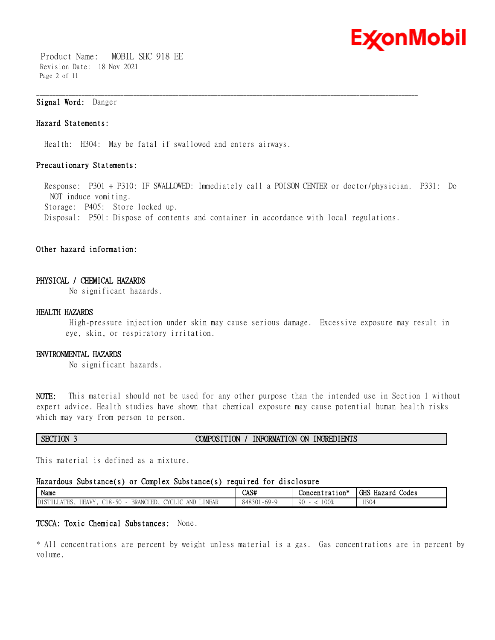

 Product Name: MOBIL SHC 918 EE Revision Date: 18 Nov 2021 Page 2 of 11

# **Signal Word:** Danger

# **Hazard Statements:**

Health: H304: May be fatal if swallowed and enters airways.

# **Precautionary Statements:**

 Response: P301 + P310: IF SWALLOWED: Immediately call a POISON CENTER or doctor/physician. P331: Do NOT induce vomiting. Storage: P405: Store locked up. Disposal: P501: Dispose of contents and container in accordance with local regulations.

\_\_\_\_\_\_\_\_\_\_\_\_\_\_\_\_\_\_\_\_\_\_\_\_\_\_\_\_\_\_\_\_\_\_\_\_\_\_\_\_\_\_\_\_\_\_\_\_\_\_\_\_\_\_\_\_\_\_\_\_\_\_\_\_\_\_\_\_\_\_\_\_\_\_\_\_\_\_\_\_\_\_\_\_\_\_\_\_\_\_\_\_\_\_\_\_\_\_\_\_\_\_\_\_\_\_\_\_\_\_\_\_\_\_\_\_\_\_

# **Other hazard information:**

# **PHYSICAL / CHEMICAL HAZARDS**

No significant hazards.

# **HEALTH HAZARDS**

High-pressure injection under skin may cause serious damage. Excessive exposure may result in eye, skin, or respiratory irritation.

# **ENVIRONMENTAL HAZARDS**

No significant hazards.

**NOTE:** This material should not be used for any other purpose than the intended use in Section 1 without expert advice. Health studies have shown that chemical exposure may cause potential human health risks which may vary from person to person.

| SECTION 3 | COMPOSITION , | INFORMATION ON INGREDIENTS |
|-----------|---------------|----------------------------|
|           |               |                            |

This material is defined as a mixture.

### **Hazardous Substance(s) or Complex Substance(s) required for disclosure**

| $\mathbf{X}$<br>Name                                                                                                                                                                                                | CAS#                                  | - 14<br>$Concentration*$ | GHS H<br>Codes<br>Hazard |
|---------------------------------------------------------------------------------------------------------------------------------------------------------------------------------------------------------------------|---------------------------------------|--------------------------|--------------------------|
| 50<br>DJ OBJT.<br>$-$<br>∟INEAR<br><b>BRANCHED</b><br>AND<br><b>AVV</b><br>HE,<br>TVCT<br>$\sim$ 10<br>$\vee$<br>$\sim$ $-$<br>υu<br>LILLAILO<br><b>IVI</b><br>. 17 I 17 I<br>ັບ<br>$\overline{\phantom{a}}$<br>. . | $-69 - 0$<br>1000<br>848301<br>$\cup$ | 00%<br>nη<br>.           | H304                     |

### **TCSCA: Toxic Chemical Substances:** None.

\* All concentrations are percent by weight unless material is a gas. Gas concentrations are in percent by volume.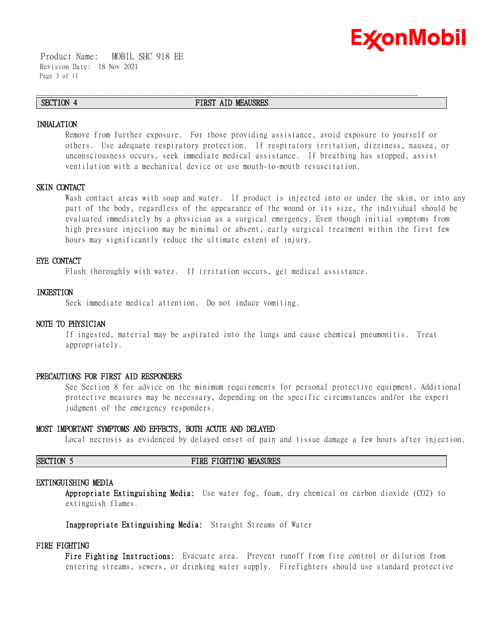

 Product Name: MOBIL SHC 918 EE Revision Date: 18 Nov 2021 Page 3 of 11

# **SECTION 4 FIRST AID MEAUSRES**

\_\_\_\_\_\_\_\_\_\_\_\_\_\_\_\_\_\_\_\_\_\_\_\_\_\_\_\_\_\_\_\_\_\_\_\_\_\_\_\_\_\_\_\_\_\_\_\_\_\_\_\_\_\_\_\_\_\_\_\_\_\_\_\_\_\_\_\_\_\_\_\_\_\_\_\_\_\_\_\_\_\_\_\_\_\_\_\_\_\_\_\_\_\_\_\_\_\_\_\_\_\_\_\_\_\_\_\_\_\_\_\_\_\_\_\_\_\_

# **INHALATION**

Remove from further exposure. For those providing assistance, avoid exposure to yourself or others. Use adequate respiratory protection. If respiratory irritation, dizziness, nausea, or unconsciousness occurs, seek immediate medical assistance. If breathing has stopped, assist ventilation with a mechanical device or use mouth-to-mouth resuscitation.

# **SKIN CONTACT**

Wash contact areas with soap and water. If product is injected into or under the skin, or into any part of the body, regardless of the appearance of the wound or its size, the individual should be evaluated immediately by a physician as a surgical emergency. Even though initial symptoms from high pressure injection may be minimal or absent, early surgical treatment within the first few hours may significantly reduce the ultimate extent of injury.

# **EYE CONTACT**

Flush thoroughly with water. If irritation occurs, get medical assistance.

# **INGESTION**

Seek immediate medical attention. Do not induce vomiting.

### **NOTE TO PHYSICIAN**

If ingested, material may be aspirated into the lungs and cause chemical pneumonitis. Treat appropriately.

### **PRECAUTIONS FOR FIRST AID RESPONDERS**

See Section 8 for advice on the minimum requirements for personal protective equipment. Additional protective measures may be necessary, depending on the specific circumstances and/or the expert judgment of the emergency responders.

### **MOST IMPORTANT SYMPTOMS AND EFFECTS, BOTH ACUTE AND DELAYED**

Local necrosis as evidenced by delayed onset of pain and tissue damage a few hours after injection.

### **SECTION 5 FIRE FIGHTING MEASURES**

### **EXTINGUISHING MEDIA**

**Appropriate Extinguishing Media:** Use water fog, foam, dry chemical or carbon dioxide (CO2) to extinguish flames.

**Inappropriate Extinguishing Media:** Straight Streams of Water

## **FIRE FIGHTING**

**Fire Fighting Instructions:** Evacuate area. Prevent runoff from fire control or dilution from entering streams, sewers, or drinking water supply. Firefighters should use standard protective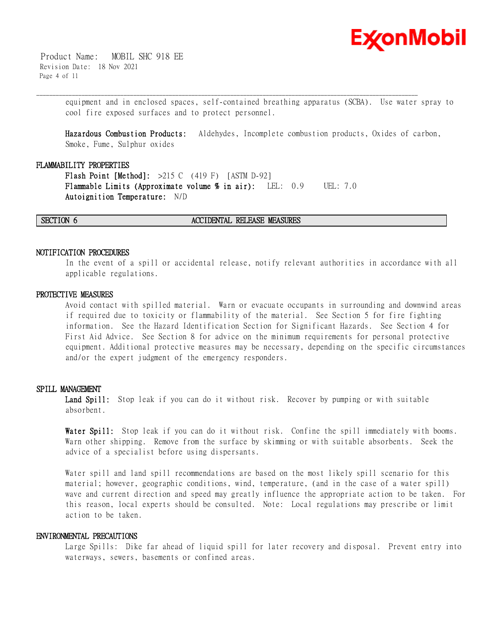

 Product Name: MOBIL SHC 918 EE Revision Date: 18 Nov 2021 Page 4 of 11

> equipment and in enclosed spaces, self-contained breathing apparatus (SCBA). Use water spray to cool fire exposed surfaces and to protect personnel.

**Hazardous Combustion Products:** Aldehydes, Incomplete combustion products, Oxides of carbon, Smoke, Fume, Sulphur oxides

\_\_\_\_\_\_\_\_\_\_\_\_\_\_\_\_\_\_\_\_\_\_\_\_\_\_\_\_\_\_\_\_\_\_\_\_\_\_\_\_\_\_\_\_\_\_\_\_\_\_\_\_\_\_\_\_\_\_\_\_\_\_\_\_\_\_\_\_\_\_\_\_\_\_\_\_\_\_\_\_\_\_\_\_\_\_\_\_\_\_\_\_\_\_\_\_\_\_\_\_\_\_\_\_\_\_\_\_\_\_\_\_\_\_\_\_\_\_

# **FLAMMABILITY PROPERTIES**

**Flash Point [Method]:** >215 C (419 F) [ASTM D-92] **Flammable Limits (Approximate volume % in air):** LEL: 0.9 UEL: 7.0 **Autoignition Temperature:** N/D

**SECTION 6 ACCIDENTAL RELEASE MEASURES**

# **NOTIFICATION PROCEDURES**

In the event of a spill or accidental release, notify relevant authorities in accordance with all applicable regulations.

### **PROTECTIVE MEASURES**

Avoid contact with spilled material. Warn or evacuate occupants in surrounding and downwind areas if required due to toxicity or flammability of the material. See Section 5 for fire fighting information. See the Hazard Identification Section for Significant Hazards. See Section 4 for First Aid Advice. See Section 8 for advice on the minimum requirements for personal protective equipment. Additional protective measures may be necessary, depending on the specific circumstances and/or the expert judgment of the emergency responders.

# **SPILL MANAGEMENT**

Land Spill: Stop leak if you can do it without risk. Recover by pumping or with suitable absorbent.

**Water Spill:** Stop leak if you can do it without risk. Confine the spill immediately with booms. Warn other shipping. Remove from the surface by skimming or with suitable absorbents. Seek the advice of a specialist before using dispersants.

Water spill and land spill recommendations are based on the most likely spill scenario for this material; however, geographic conditions, wind, temperature, (and in the case of a water spill) wave and current direction and speed may greatly influence the appropriate action to be taken. For this reason, local experts should be consulted. Note: Local regulations may prescribe or limit action to be taken.

# **ENVIRONMENTAL PRECAUTIONS**

Large Spills: Dike far ahead of liquid spill for later recovery and disposal. Prevent entry into waterways, sewers, basements or confined areas.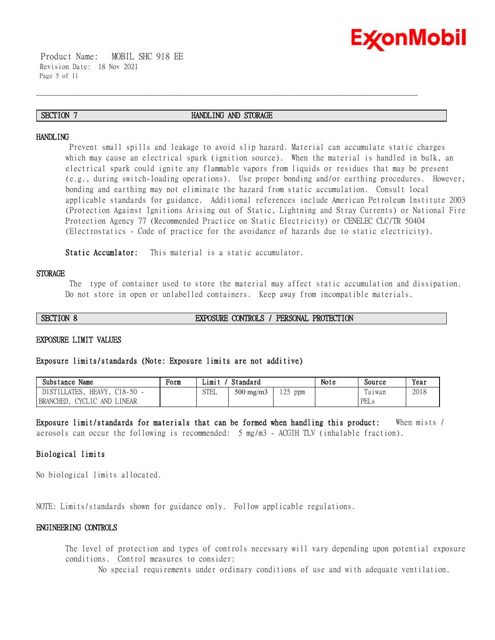

 Product Name: MOBIL SHC 918 EE Revision Date: 18 Nov 2021 Page 5 of 11

# **SECTION 7 HANDLING AND STORAGE**

\_\_\_\_\_\_\_\_\_\_\_\_\_\_\_\_\_\_\_\_\_\_\_\_\_\_\_\_\_\_\_\_\_\_\_\_\_\_\_\_\_\_\_\_\_\_\_\_\_\_\_\_\_\_\_\_\_\_\_\_\_\_\_\_\_\_\_\_\_\_\_\_\_\_\_\_\_\_\_\_\_\_\_\_\_\_\_\_\_\_\_\_\_\_\_\_\_\_\_\_\_\_\_\_\_\_\_\_\_\_\_\_\_\_\_\_\_\_

### **HANDLING**

Prevent small spills and leakage to avoid slip hazard. Material can accumulate static charges which may cause an electrical spark (ignition source). When the material is handled in bulk, an electrical spark could ignite any flammable vapors from liquids or residues that may be present (e.g., during switch-loading operations). Use proper bonding and/or earthing procedures. However, bonding and earthing may not eliminate the hazard from static accumulation. Consult local applicable standards for guidance. Additional references include American Petroleum Institute 2003 (Protection Against Ignitions Arising out of Static, Lightning and Stray Currents) or National Fire Protection Agency 77 (Recommended Practice on Static Electricity) or CENELEC CLC/TR 50404 (Electrostatics - Code of practice for the avoidance of hazards due to static electricity).

**Static Accumlator:** This material is a static accumulator.

# **STORAGE**

The type of container used to store the material may affect static accumulation and dissipation. Do not store in open or unlabelled containers. Keep away from incompatible materials.

**SECTION 8 EXPOSURE CONTROLS / PERSONAL PROTECTION**

### **EXPOSURE LIMIT VALUES**

### **Exposure limits/standards (Note: Exposure limits are not additive)**

| Substance<br>Name                             | Form | Limi        | Standard           |                         | Note | Source           | Year |
|-----------------------------------------------|------|-------------|--------------------|-------------------------|------|------------------|------|
| <b>ATES</b><br>HEAVY.<br>DISTIL<br>$C18-50 -$ |      | <b>STEL</b> | $500 \text{ mg/m}$ | $\cap$ $\subset$<br>ppm |      | m<br>la i wan    | 2018 |
| <b>BRANCHED</b><br>LINEAR<br>UVU<br>AND<br>TC |      |             |                    |                         |      | <b>PF</b><br>دىس |      |

**Exposure limit/standards for materials that can be formed when handling this product:** When mists / aerosols can occur the following is recommended: 5 mg/m3 - ACGIH TLV (inhalable fraction).

# **Biological limits**

No biological limits allocated.

NOTE: Limits/standards shown for guidance only. Follow applicable regulations.

# **ENGINEERING CONTROLS**

The level of protection and types of controls necessary will vary depending upon potential exposure conditions. Control measures to consider:

No special requirements under ordinary conditions of use and with adequate ventilation.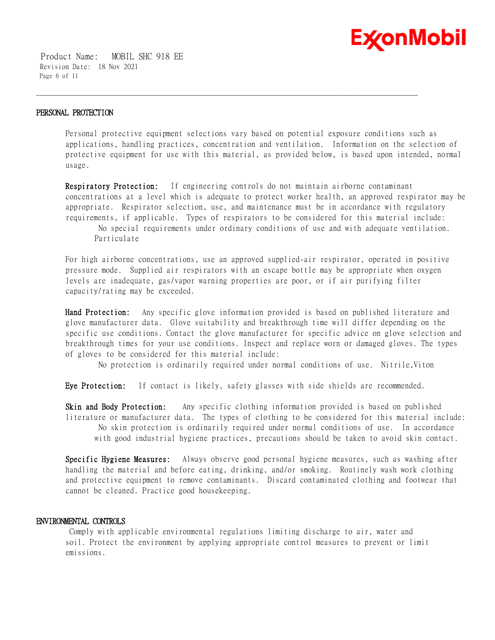

 Product Name: MOBIL SHC 918 EE Revision Date: 18 Nov 2021 Page 6 of 11

# **PERSONAL PROTECTION**

Personal protective equipment selections vary based on potential exposure conditions such as applications, handling practices, concentration and ventilation. Information on the selection of protective equipment for use with this material, as provided below, is based upon intended, normal usage.

\_\_\_\_\_\_\_\_\_\_\_\_\_\_\_\_\_\_\_\_\_\_\_\_\_\_\_\_\_\_\_\_\_\_\_\_\_\_\_\_\_\_\_\_\_\_\_\_\_\_\_\_\_\_\_\_\_\_\_\_\_\_\_\_\_\_\_\_\_\_\_\_\_\_\_\_\_\_\_\_\_\_\_\_\_\_\_\_\_\_\_\_\_\_\_\_\_\_\_\_\_\_\_\_\_\_\_\_\_\_\_\_\_\_\_\_\_\_

**Respiratory Protection:** If engineering controls do not maintain airborne contaminant concentrations at a level which is adequate to protect worker health, an approved respirator may be appropriate. Respirator selection, use, and maintenance must be in accordance with regulatory requirements, if applicable. Types of respirators to be considered for this material include:

No special requirements under ordinary conditions of use and with adequate ventilation. Particulate

For high airborne concentrations, use an approved supplied-air respirator, operated in positive pressure mode. Supplied air respirators with an escape bottle may be appropriate when oxygen levels are inadequate, gas/vapor warning properties are poor, or if air purifying filter capacity/rating may be exceeded.

**Hand Protection:** Any specific glove information provided is based on published literature and glove manufacturer data. Glove suitability and breakthrough time will differ depending on the specific use conditions. Contact the glove manufacturer for specific advice on glove selection and breakthrough times for your use conditions. Inspect and replace worn or damaged gloves. The types of gloves to be considered for this material include:

No protection is ordinarily required under normal conditions of use. Nitrile,Viton

**Eye Protection:** If contact is likely, safety glasses with side shields are recommended.

**Skin and Body Protection:** Any specific clothing information provided is based on published literature or manufacturer data. The types of clothing to be considered for this material include: No skin protection is ordinarily required under normal conditions of use. In accordance with good industrial hygiene practices, precautions should be taken to avoid skin contact.

**Specific Hygiene Measures:** Always observe good personal hygiene measures, such as washing after handling the material and before eating, drinking, and/or smoking. Routinely wash work clothing and protective equipment to remove contaminants. Discard contaminated clothing and footwear that cannot be cleaned. Practice good housekeeping.

# **ENVIRONMENTAL CONTROLS**

Comply with applicable environmental regulations limiting discharge to air, water and soil. Protect the environment by applying appropriate control measures to prevent or limit emissions.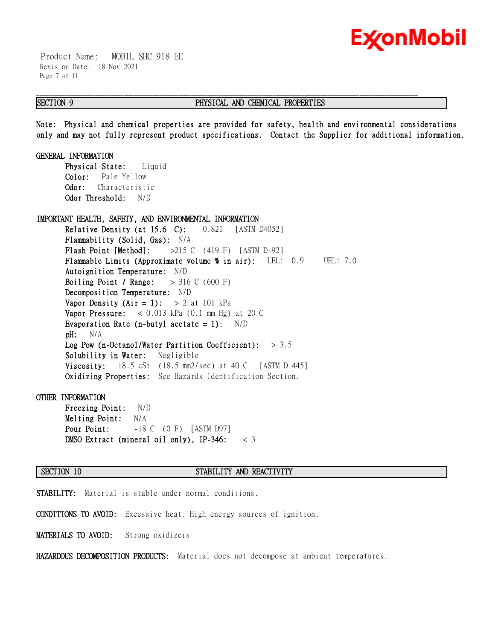

 Product Name: MOBIL SHC 918 EE Revision Date: 18 Nov 2021 Page 7 of 11

# **SECTION 9 PHYSICAL AND CHEMICAL PROPERTIES**

**Note: Physical and chemical properties are provided for safety, health and environmental considerations only and may not fully represent product specifications. Contact the Supplier for additional information.**

\_\_\_\_\_\_\_\_\_\_\_\_\_\_\_\_\_\_\_\_\_\_\_\_\_\_\_\_\_\_\_\_\_\_\_\_\_\_\_\_\_\_\_\_\_\_\_\_\_\_\_\_\_\_\_\_\_\_\_\_\_\_\_\_\_\_\_\_\_\_\_\_\_\_\_\_\_\_\_\_\_\_\_\_\_\_\_\_\_\_\_\_\_\_\_\_\_\_\_\_\_\_\_\_\_\_\_\_\_\_\_\_\_\_\_\_\_\_

**GENERAL INFORMATION**

**Physical State:** Liquid **Color:** Pale Yellow **Odor:** Characteristic **Odor Threshold:** N/D

### **IMPORTANT HEALTH, SAFETY, AND ENVIRONMENTAL INFORMATION**

**Relative Density (at 15.6 C):** 0.821 [ASTM D4052] **Flammability (Solid, Gas):** N/A **Flash Point [Method]:** >215 C (419 F) [ASTM D-92] **Flammable Limits (Approximate volume % in air):** LEL: 0.9 UEL: 7.0 **Autoignition Temperature:** N/D **Boiling Point / Range:** > 316 C (600 F) **Decomposition Temperature:** N/D **Vapor Density (Air = 1):**  $> 2$  at 101 kPa **Vapor Pressure:** < 0.013 kPa (0.1 mm Hg) at 20 C **Evaporation Rate (n-butyl acetate = 1):** N/D **pH:** N/A **Log Pow (n-Octanol/Water Partition Coefficient):** > 3.5 **Solubility in Water:** Negligible **Viscosity:** 18.5 cSt (18.5 mm2/sec) at 40 C [ASTM D 445] **Oxidizing Properties:** See Hazards Identification Section.

### **OTHER INFORMATION**

**Freezing Point:** N/D **Melting Point:** N/A **Pour Point:**  $-18$  C (0 F) [ASTM D97] **DMSO Extract (mineral oil only), IP-346:** < 3

### **SECTION 10 STABILITY AND REACTIVITY**

**STABILITY:** Material is stable under normal conditions.

**CONDITIONS TO AVOID:** Excessive heat. High energy sources of ignition.

**MATERIALS TO AVOID:** Strong oxidizers

**HAZARDOUS DECOMPOSITION PRODUCTS:** Material does not decompose at ambient temperatures.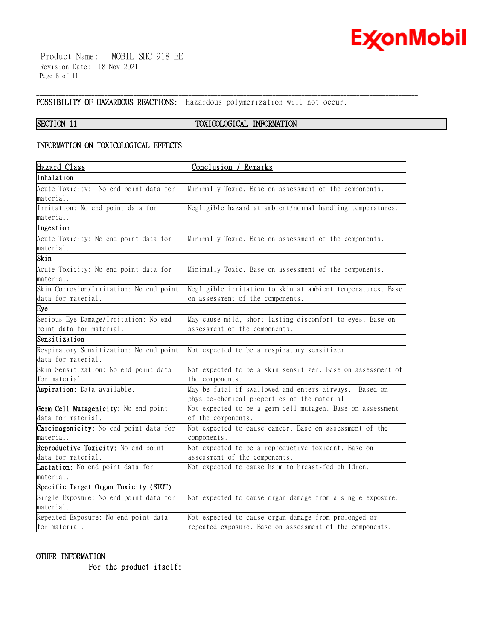

 Product Name: MOBIL SHC 918 EE Revision Date: 18 Nov 2021 Page 8 of 11

**POSSIBILITY OF HAZARDOUS REACTIONS:** Hazardous polymerization will not occur.

# **SECTION 11 TOXICOLOGICAL INFORMATION**

\_\_\_\_\_\_\_\_\_\_\_\_\_\_\_\_\_\_\_\_\_\_\_\_\_\_\_\_\_\_\_\_\_\_\_\_\_\_\_\_\_\_\_\_\_\_\_\_\_\_\_\_\_\_\_\_\_\_\_\_\_\_\_\_\_\_\_\_\_\_\_\_\_\_\_\_\_\_\_\_\_\_\_\_\_\_\_\_\_\_\_\_\_\_\_\_\_\_\_\_\_\_\_\_\_\_\_\_\_\_\_\_\_\_\_\_\_\_

# **INFORMATION ON TOXICOLOGICAL EFFECTS**

| <u> Hazard Class</u>                    | Conclusion / Remarks                                        |
|-----------------------------------------|-------------------------------------------------------------|
| Inhalation                              |                                                             |
| Acute Toxicity: No end point data for   | Minimally Toxic. Base on assessment of the components.      |
| material.                               |                                                             |
| Irritation: No end point data for       | Negligible hazard at ambient/normal handling temperatures.  |
| material.                               |                                                             |
| Ingestion                               |                                                             |
| Acute Toxicity: No end point data for   | Minimally Toxic. Base on assessment of the components.      |
| material.                               |                                                             |
| Skin                                    |                                                             |
| Acute Toxicity: No end point data for   | Minimally Toxic. Base on assessment of the components.      |
| material.                               |                                                             |
| Skin Corrosion/Irritation: No end point | Negligible irritation to skin at ambient temperatures. Base |
| data for material.                      | on assessment of the components.                            |
| Eye                                     |                                                             |
| Serious Eye Damage/Irritation: No end   | May cause mild, short-lasting discomfort to eyes. Base on   |
| point data for material.                | assessment of the components.                               |
| Sensitization                           |                                                             |
| Respiratory Sensitization: No end point | Not expected to be a respiratory sensitizer.                |
| data for material.                      |                                                             |
| Skin Sensitization: No end point data   | Not expected to be a skin sensitizer. Base on assessment of |
| for material.                           | the components.                                             |
| Aspiration: Data available.             | May be fatal if swallowed and enters airways. Based on      |
|                                         | physico-chemical properties of the material.                |
| Germ Cell Mutagenicity: No end point    | Not expected to be a germ cell mutagen. Base on assessment  |
| data for material.                      | of the components.                                          |
| Carcinogenicity: No end point data for  | Not expected to cause cancer. Base on assessment of the     |
| material.                               | components.                                                 |
| Reproductive Toxicity: No end point     | Not expected to be a reproductive toxicant. Base on         |
| data for material.                      | assessment of the components.                               |
| Lactation: No end point data for        | Not expected to cause harm to breast-fed children.          |
| material.                               |                                                             |
| Specific Target Organ Toxicity (STOT)   |                                                             |
| Single Exposure: No end point data for  | Not expected to cause organ damage from a single exposure.  |
| material.                               |                                                             |
| Repeated Exposure: No end point data    | Not expected to cause organ damage from prolonged or        |
| for material.                           | repeated exposure. Base on assessment of the components.    |

# **OTHER INFORMATION**

 **For the product itself:**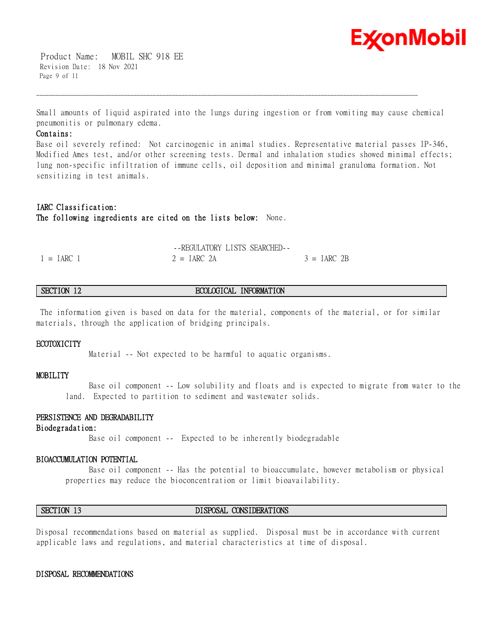

 Product Name: MOBIL SHC 918 EE Revision Date: 18 Nov 2021 Page 9 of 11

Small amounts of liquid aspirated into the lungs during ingestion or from vomiting may cause chemical pneumonitis or pulmonary edema.

\_\_\_\_\_\_\_\_\_\_\_\_\_\_\_\_\_\_\_\_\_\_\_\_\_\_\_\_\_\_\_\_\_\_\_\_\_\_\_\_\_\_\_\_\_\_\_\_\_\_\_\_\_\_\_\_\_\_\_\_\_\_\_\_\_\_\_\_\_\_\_\_\_\_\_\_\_\_\_\_\_\_\_\_\_\_\_\_\_\_\_\_\_\_\_\_\_\_\_\_\_\_\_\_\_\_\_\_\_\_\_\_\_\_\_\_\_\_

### **Contains:**

Base oil severely refined: Not carcinogenic in animal studies. Representative material passes IP-346, Modified Ames test, and/or other screening tests. Dermal and inhalation studies showed minimal effects; lung non-specific infiltration of immune cells, oil deposition and minimal granuloma formation. Not sensitizing in test animals.

# **IARC Classification: The following ingredients are cited on the lists below:** None.

|              | --REGULATORY LISTS SEARCHED-- |               |
|--------------|-------------------------------|---------------|
| $1 = IARC 1$ | $2 = IARC$ 2A                 | $3 = IARC 2B$ |

# **SECTION 12 ECOLOGICAL INFORMATION**

The information given is based on data for the material, components of the material, or for similar materials, through the application of bridging principals.

### **ECOTOXICITY**

Material -- Not expected to be harmful to aquatic organisms.

### **MOBILITY**

 Base oil component -- Low solubility and floats and is expected to migrate from water to the land. Expected to partition to sediment and wastewater solids.

# **PERSISTENCE AND DEGRADABILITY**

### **Biodegradation:**

Base oil component -- Expected to be inherently biodegradable

# **BIOACCUMULATION POTENTIAL**

 Base oil component -- Has the potential to bioaccumulate, however metabolism or physical properties may reduce the bioconcentration or limit bioavailability.

# **SECTION 13 DISPOSAL CONSIDERATIONS**

Disposal recommendations based on material as supplied. Disposal must be in accordance with current applicable laws and regulations, and material characteristics at time of disposal.

### **DISPOSAL RECOMMENDATIONS**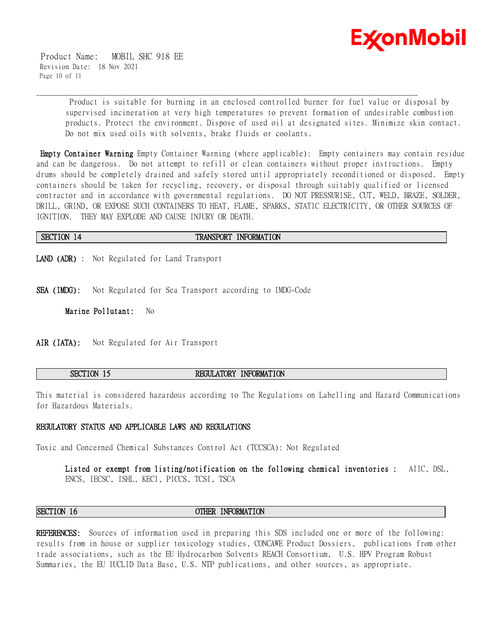

 Product Name: MOBIL SHC 918 EE Revision Date: 18 Nov 2021 Page 10 of 11

> Product is suitable for burning in an enclosed controlled burner for fuel value or disposal by supervised incineration at very high temperatures to prevent formation of undesirable combustion products. Protect the environment. Dispose of used oil at designated sites. Minimize skin contact. Do not mix used oils with solvents, brake fluids or coolants.

**Empty Container Warning** Empty Container Warning (where applicable): Empty containers may contain residue and can be dangerous. Do not attempt to refill or clean containers without proper instructions. Empty drums should be completely drained and safely stored until appropriately reconditioned or disposed. Empty containers should be taken for recycling, recovery, or disposal through suitably qualified or licensed contractor and in accordance with governmental regulations. DO NOT PRESSURISE, CUT, WELD, BRAZE, SOLDER, DRILL, GRIND, OR EXPOSE SUCH CONTAINERS TO HEAT, FLAME, SPARKS, STATIC ELECTRICITY, OR OTHER SOURCES OF IGNITION. THEY MAY EXPLODE AND CAUSE INJURY OR DEATH.

**SECTION 14 TRANSPORT INFORMATION** 

\_\_\_\_\_\_\_\_\_\_\_\_\_\_\_\_\_\_\_\_\_\_\_\_\_\_\_\_\_\_\_\_\_\_\_\_\_\_\_\_\_\_\_\_\_\_\_\_\_\_\_\_\_\_\_\_\_\_\_\_\_\_\_\_\_\_\_\_\_\_\_\_\_\_\_\_\_\_\_\_\_\_\_\_\_\_\_\_\_\_\_\_\_\_\_\_\_\_\_\_\_\_\_\_\_\_\_\_\_\_\_\_\_\_\_\_\_\_

**LAND (ADR)** : Not Regulated for Land Transport

**SEA (IMDG):** Not Regulated for Sea Transport according to IMDG-Code

**Marine Pollutant:** No

**AIR (IATA):** Not Regulated for Air Transport

**SECTION 15 REGULATORY INFORMATION** 

This material is considered hazardous according to The Regulations on Labelling and Hazard Communications for Hazardous Materials.

# **REGULATORY STATUS AND APPLICABLE LAWS AND REGULATIONS**

Toxic and Concerned Chemical Substances Control Act (TCCSCA): Not Regulated

**Listed or exempt from listing/notification on the following chemical inventories :** AIIC, DSL, ENCS, IECSC, ISHL, KECI, PICCS, TCSI, TSCA

**SECTION 16 OTHER INFORMATION**

**REFERENCES:** Sources of information used in preparing this SDS included one or more of the following: results from in house or supplier toxicology studies, CONCAWE Product Dossiers, publications from other trade associations, such as the EU Hydrocarbon Solvents REACH Consortium, U.S. HPV Program Robust Summaries, the EU IUCLID Data Base, U.S. NTP publications, and other sources, as appropriate.